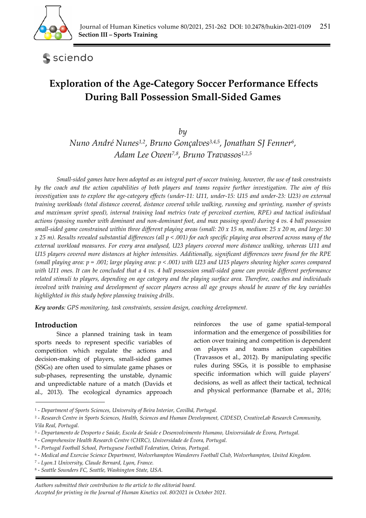

**S** sciendo

# **Exploration of the Age-Category Soccer Performance Effects During Ball Possession Small-Sided Games**

*by* 

*Nuno André Nunes1,2, Bruno Gonçalves3,4,5, Jonathan SJ Fenner6, Adam Lee Owen7,8, Bruno Travassos1,2,5*

*Small-sided games have been adopted as an integral part of soccer training, however, the use of task constraints by the coach and the action capabilities of both players and teams require further investigation. The aim of this*  investigation was to explore the age-category effects (under-11: U11, under-15: U15 and under-23: U23) on external *training workloads (total distance covered, distance covered while walking, running and sprinting, number of sprints*  and maximum sprint speed), internal training load metrics (rate of perceived exertion, RPE) and tactical individual *actions (passing number with dominant and non-dominant foot, and max passing speed) during 4 vs. 4 ball possession small-sided game constrained within three different playing areas (small: 20 x 15 m, medium: 25 x 20 m, and large: 30 x 25 m). Results revealed substantial differences (all p < .001) for each specific playing area observed across many of the external workload measures. For every area analysed, U23 players covered more distance walking, whereas U11 and U15 players covered more distances at higher intensities. Additionally, significant differences were found for the RPE (small playing area: p = .001; large playing area: p < .001) with U23 and U15 players showing higher scores compared with U11 ones. It can be concluded that a 4 vs. 4 ball possession small-sided game can provide different performance related stimuli to players, depending on age category and the playing surface area. Therefore, coaches and individuals involved with training and development of soccer players across all age groups should be aware of the key variables highlighted in this study before planning training drills*.

*Key words: GPS monitoring, task constraints, session design, coaching development.* 

## **Introduction**

Since a planned training task in team sports needs to represent specific variables of competition which regulate the actions and decision-making of players, small-sided games (SSGs) are often used to simulate game phases or sub-phases, representing the unstable, dynamic and unpredictable nature of a match (Davids et al., 2013). The ecological dynamics approach reinforces the use of game spatial-temporal information and the emergence of possibilities for action over training and competition is dependent on players and teams action capabilities (Travassos et al., 2012). By manipulating specific rules during SSGs, it is possible to emphasise specific information which will guide players' decisions, as well as affect their tactical, technical and physical performance (Barnabe et al., 2016;

<sup>1 -</sup> *Department of Sports Sciences, University of Beira Interior, Covilhã, Portugal.* 

<sup>2 -</sup> *Research Centre in Sports Sciences, Health, Sciences and Human Development, CIDESD, CreativeLab Research Community, Vila Real, Portugal.* 

<sup>3 -</sup> *Departamento de Desporto e Saúde, Escola de Saúde e Desenvolvimento Humano, Universidade de Évora, Portugal.* 

<sup>4 -</sup> *Comprehensive Health Research Centre (CHRC), Universidade de Évora, Portugal.* 

<sup>5 -</sup> *Portugal Football School, Portuguese Football Federation, Oeiras, Portugal.* 

<sup>6 -</sup> *Medical and Exercise Science Department, Wolverhampton Wanderers Football Club, Wolverhampton, United Kingdom.* 

<sup>7 -</sup> *Lyon.1 University, Claude Bernard, Lyon, France.* 

<sup>8 -</sup> *Seattle Sounders FC, Seattle, Washington State, USA.*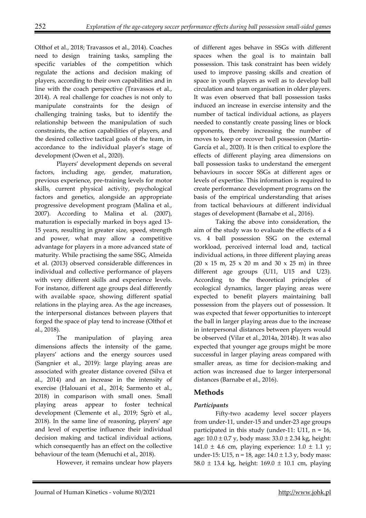Olthof et al., 2018; Travassos et al., 2014). Coaches need to design training tasks, sampling the specific variables of the competition which regulate the actions and decision making of players, according to their own capabilities and in line with the coach perspective (Travassos et al., 2014). A real challenge for coaches is not only to manipulate constraints for the design of challenging training tasks, but to identify the relationship between the manipulation of such constraints, the action capabilities of players, and the desired collective tactical goals of the team, in accordance to the individual player's stage of development (Owen et al., 2020).

Players' development depends on several factors, including age, gender, maturation, previous experience, pre-training levels for motor skills, current physical activity, psychological factors and genetics, alongside an appropriate progressive development program (Malina et al., 2007). According to Malina et al. (2007), maturation is especially marked in boys aged 13- 15 years, resulting in greater size, speed, strength and power, what may allow a competitive advantage for players in a more advanced state of maturity. While practising the same SSG, Almeida et al. (2013) observed considerable differences in individual and collective performance of players with very different skills and experience levels. For instance, different age groups deal differently with available space, showing different spatial relations in the playing area. As the age increases, the interpersonal distances between players that forged the space of play tend to increase (Olthof et al., 2018).

The manipulation of playing area dimensions affects the intensity of the game, players' actions and the energy sources used (Sangnier et al., 2019): large playing areas are associated with greater distance covered (Silva et al., 2014) and an increase in the intensity of exercise (Halouani et al., 2014; Sarmento et al., 2018) in comparison with small ones. Small playing areas appear to foster technical development (Clemente et al., 2019; Sgrò et al., 2018). In the same line of reasoning, players' age and level of expertise influence their individual decision making and tactical individual actions, which consequently has an effect on the collective behaviour of the team (Menuchi et al., 2018).

However, it remains unclear how players

of different ages behave in SSGs with different spaces when the goal is to maintain ball possession. This task constraint has been widely used to improve passing skills and creation of space in youth players as well as to develop ball circulation and team organisation in older players. It was even observed that ball possession tasks induced an increase in exercise intensity and the number of tactical individual actions, as players needed to constantly create passing lines or block opponents, thereby increasing the number of moves to keep or recover ball possession (Martín-García et al., 2020). It is then critical to explore the effects of different playing area dimensions on ball possession tasks to understand the emergent behaviours in soccer SSGs at different ages or levels of expertise. This information is required to create performance development programs on the basis of the empirical understanding that arises from tactical behaviours at different individual stages of development (Barnabe et al., 2016).

Taking the above into consideration, the aim of the study was to evaluate the effects of a 4 vs. 4 ball possession SSG on the external workload, perceived internal load and, tactical individual actions, in three different playing areas  $(20 \times 15 \text{ m}, 25 \times 20 \text{ m} \text{ and } 30 \times 25 \text{ m})$  in three different age groups (U11, U15 and U23). According to the theoretical principles of ecological dynamics, larger playing areas were expected to benefit players maintaining ball possession from the players out of possession. It was expected that fewer opportunities to intercept the ball in larger playing areas due to the increase in interpersonal distances between players would be observed (Vilar et al., 2014a, 2014b). It was also expected that younger age groups might be more successful in larger playing areas compared with smaller areas, as time for decision-making and action was increased due to larger interpersonal distances (Barnabe et al., 2016).

# **Methods**

# *Participants*

Fifty-two academy level soccer players from under-11, under-15 and under-23 age groups participated in this study (under-11: U11,  $n = 16$ , age:  $10.0 \pm 0.7$  y, body mass:  $33.0 \pm 2.34$  kg, height: 141.0  $\pm$  4.6 cm, playing experience: 1.0  $\pm$  1.1 y; under-15: U15, n = 18, age:  $14.0 \pm 1.3$  y, body mass: 58.0 ± 13.4 kg, height: 169.0 ± 10.1 cm, playing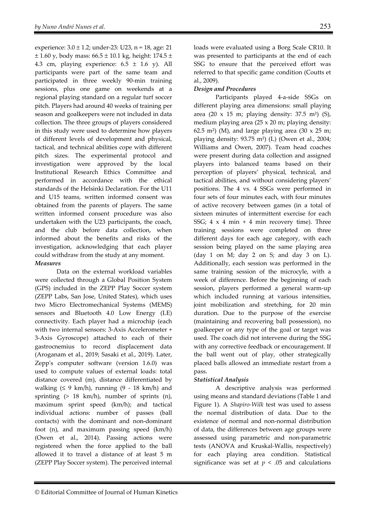experience:  $3.0 \pm 1.2$ ; under-23: U23, n = 18, age: 21  $± 1.60$  y, body mass:  $66.5 ± 10.1$  kg, height: 174.5  $±$ 4.3 cm, playing experience:  $6.5 \pm 1.6$  y). All participants were part of the same team and participated in three weekly 90-min training sessions, plus one game on weekends at a regional playing standard on a regular turf soccer pitch. Players had around 40 weeks of training per season and goalkeepers were not included in data collection. The three groups of players considered in this study were used to determine how players of different levels of development and physical, tactical, and technical abilities cope with different pitch sizes. The experimental protocol and investigation were approved by the local Institutional Research Ethics Committee and performed in accordance with the ethical standards of the Helsinki Declaration. For the U11 and U15 teams, written informed consent was obtained from the parents of players. The same written informed consent procedure was also undertaken with the U23 participants, the coach, and the club before data collection, when informed about the benefits and risks of the investigation, acknowledging that each player could withdraw from the study at any moment. *Measures* 

Data on the external workload variables were collected through a Global Position System (GPS) included in the ZEPP Play Soccer system (ZEPP Labs, San Jose, United States), which uses two Micro Electromechanical Systems (MEMS) sensors and Bluetooth 4.0 Low Energy (LE) connectivity. Each player had a microchip (each with two internal sensors: 3-Axis Accelerometer + 3-Axis Gyroscope) attached to each of their gastrocnemius to record displacement data (Aroganam et al., 2019; Sasaki et al., 2019). Later, Zepp's computer software (version 1.6.0) was used to compute values of external loads: total distance covered (m), distance differentiated by walking  $(59 \text{ km/h})$ , running  $(9 - 18 \text{ km/h})$  and sprinting  $(> 18 \text{ km/h})$ , number of sprints  $(n)$ , maximum sprint speed (km/h); and tactical individual actions: number of passes (ball contacts) with the dominant and non-dominant foot (n), and maximum passing speed (km/h) (Owen et al., 2014). Passing actions were registered when the force applied to the ball allowed it to travel a distance of at least 5 m (ZEPP Play Soccer system). The perceived internal

loads were evaluated using a Borg Scale CR10. It was presented to participants at the end of each SSG to ensure that the perceived effort was referred to that specific game condition (Coutts et al., 2009).

# *Design and Procedures*

Participants played 4-a-side SSGs on different playing area dimensions: small playing area (20 x 15 m; playing density: 37.5 m²) (S), medium playing area (25 x 20 m; playing density: 62.5 m<sup>2</sup>) (M), and large playing area (30  $\times$  25 m; playing density:  $93.75$  m<sup>2</sup>) (L) (Owen et al., 2004; Williams and Owen, 2007). Team head coaches were present during data collection and assigned players into balanced teams based on their perception of players' physical, technical, and tactical abilities, and without considering players' positions. The 4 vs. 4 SSGs were performed in four sets of four minutes each, with four minutes of active recovery between games (in a total of sixteen minutes of intermittent exercise for each SSG;  $4 \times 4$  min + 4 min recovery time). Three training sessions were completed on three different days for each age category, with each session being played on the same playing area (day 1 on M; day 2 on S; and day 3 on L). Additionally, each session was performed in the same training session of the microcyle, with a week of difference. Before the beginning of each session, players performed a general warm-up which included running at various intensities, joint mobilization and stretching, for 20 min duration. Due to the purpose of the exercise (maintaining and recovering ball possession), no goalkeeper or any type of the goal or target was used. The coach did not intervene during the SSG with any corrective feedback or encouragement. If the ball went out of play, other strategically placed balls allowed an immediate restart from a pass.

## *Statistical Analysis*

A descriptive analysis was performed using means and standard deviations (Table 1 and Figure 1). A *Shapiro-Wilk* test was used to assess the normal distribution of data. Due to the existence of normal and non-normal distribution of data, the differences between age groups were assessed using parametric and non-parametric tests (ANOVA and Kruskal-Wallis, respectively) for each playing area condition. Statistical significance was set at  $p < .05$  and calculations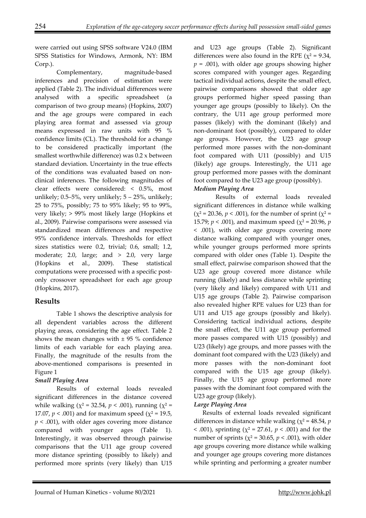were carried out using SPSS software V24.0 (IBM SPSS Statistics for Windows, Armonk, NY: IBM Corp.).

Complementary, magnitude-based inferences and precision of estimation were applied (Table 2). The individual differences were analysed with a specific spreadsheet (a comparison of two group means) (Hopkins, 2007) and the age groups were compared in each playing area format and assessed via group means expressed in raw units with 95 % confidence limits (CL). The threshold for a change to be considered practically important (the smallest worthwhile difference) was 0.2 x between standard deviation. Uncertainty in the true effects of the conditions was evaluated based on nonclinical inferences. The following magnitudes of clear effects were considered: < 0.5%, most unlikely;  $0.5-5%$ , very unlikely;  $5 - 25%$ , unlikely; 25 to 75%, possibly; 75 to 95% likely; 95 to 99%, very likely; > 99% most likely large (Hopkins et al., 2009). Pairwise comparisons were assessed via standardized mean differences and respective 95% confidence intervals. Thresholds for effect sizes statistics were 0.2, trivial; 0.6, small; 1.2, moderate; 2.0, large; and  $> 2.0$ , very large (Hopkins et al., 2009). These statistical computations were processed with a specific postonly crossover spreadsheet for each age group (Hopkins, 2017).

# **Results**

Table 1 shows the descriptive analysis for all dependent variables across the different playing areas, considering the age effect. Table 2 shows the mean changes with  $\pm$  95 % confidence limits of each variable for each playing area. Finally, the magnitude of the results from the above-mentioned comparisons is presented in Figure 1

# *Small Playing Area*

Results of external loads revealed significant differences in the distance covered while walking ( $\chi^2$  = 32.54,  $p < .001$ ), running ( $\chi^2$  = 17.07,  $p < .001$ ) and for maximum speed ( $\chi^2 = 19.5$ , *p* < .001), with older ages covering more distance compared with younger ages (Table 1). Interestingly, it was observed through pairwise comparisons that the U11 age group covered more distance sprinting (possibly to likely) and performed more sprints (very likely) than U15 and U23 age groups (Table 2). Significant differences were also found in the RPE ( $\chi^2$  = 9.34,  $p = .001$ ), with older age groups showing higher scores compared with younger ages. Regarding tactical individual actions, despite the small effect, pairwise comparisons showed that older age groups performed higher speed passing than younger age groups (possibly to likely). On the contrary, the U11 age group performed more passes (likely) with the dominant (likely) and non-dominant foot (possibly), compared to older age groups. However, the U23 age group performed more passes with the non-dominant foot compared with U11 (possibly) and U15 (likely) age groups. Interestingly, the U11 age group performed more passes with the dominant foot compared to the U23 age group (possibly). *Medium Playing Area* 

Results of external loads revealed significant differences in distance while walking  $(\chi^2 = 20.36, p < .001)$ , for the number of sprint  $(\chi^2 = 10.36, p < .001)$ 15.79;  $p < .001$ ), and maximum speed ( $\chi^2 = 20.96$ , *p* < .001), with older age groups covering more distance walking compared with younger ones, while younger groups performed more sprints compared with older ones (Table 1). Despite the small effect, pairwise comparison showed that the U23 age group covered more distance while running (likely) and less distance while sprinting (very likely and likely) compared with U11 and U15 age groups (Table 2). Pairwise comparison also revealed higher RPE values for U23 than for U11 and U15 age groups (possibly and likely). Considering tactical individual actions, despite the small effect, the U11 age group performed more passes compared with U15 (possibly) and U23 (likely) age groups, and more passes with the dominant foot compared with the U23 (likely) and more passes with the non-dominant foot compared with the U15 age group (likely). Finally, the U15 age group performed more passes with the dominant foot compared with the U23 age group (likely).

## *Large Playing Area*

Results of external loads revealed significant differences in distance while walking ( $\chi^2$  = 48.54, *p*  $< .001$ ), sprinting ( $\chi^2 = 27.61$ ,  $p < .001$ ) and for the number of sprints ( $\chi^2$  = 30.65,  $p < .001$ ), with older age groups covering more distance while walking and younger age groups covering more distances while sprinting and performing a greater number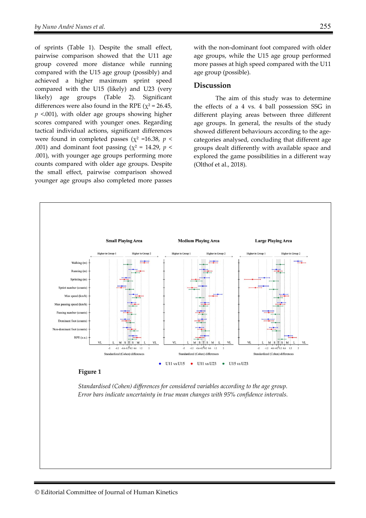of sprints (Table 1). Despite the small effect, pairwise comparison showed that the U11 age group covered more distance while running compared with the U15 age group (possibly) and achieved a higher maximum sprint speed compared with the U15 (likely) and U23 (very likely) age groups (Table 2). Significant differences were also found in the RPE ( $\chi^2$  = 26.45, *p* <.001), with older age groups showing higher scores compared with younger ones. Regarding tactical individual actions, significant differences were found in completed passes ( $\chi^2$  =16.38,  $p$  < .001) and dominant foot passing ( $\chi^2$  = 14.29, *p* < .001), with younger age groups performing more counts compared with older age groups. Despite the small effect, pairwise comparison showed younger age groups also completed more passes

with the non-dominant foot compared with older age groups, while the U15 age group performed more passes at high speed compared with the U11 age group (possible).

#### **Discussion**

The aim of this study was to determine the effects of a 4 vs. 4 ball possession SSG in different playing areas between three different age groups. In general, the results of the study showed different behaviours according to the agecategories analysed, concluding that different age groups dealt differently with available space and explored the game possibilities in a different way (Olthof et al., 2018).

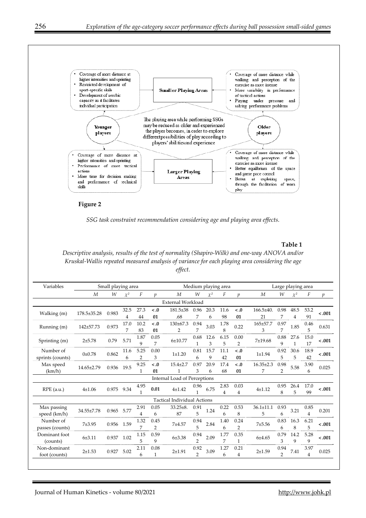

**Figure 2** 

*SSG task constraint recommendation considering age and playing area effects.* 

**Table 1** 

*Descriptive analysis, results of the test of normality (Shapiro-Wilk) and one-way ANOVA and/or Kruskal-Wallis repeated measured analysis of variance for each playing area considering the age effect.* 

| Variables        | Small playing area  |                 |          |      |                           |                                    | Medium playing area |          |                  |                 |                 | Large playing area |                |                |                  |  |
|------------------|---------------------|-----------------|----------|------|---------------------------|------------------------------------|---------------------|----------|------------------|-----------------|-----------------|--------------------|----------------|----------------|------------------|--|
|                  | M                   | W               | $\chi^2$ | F    | $\boldsymbol{v}$          | M                                  | W                   | $\chi^2$ | F                | $\mathcal{D}$   | M               | W                  | $\chi^2$       | F              | $\boldsymbol{p}$ |  |
|                  |                     |                 |          |      |                           | <b>External Workload</b>           |                     |          |                  |                 |                 |                    |                |                |                  |  |
| Walking (m)      | 178.5±35.28         | 0.983           | 32.5     | 27.3 | $\epsilon$ .0             | $181.5 \pm 38$                     | 0.96                | 20.3     | 11.6             | $\leq .0$       | $166.5 + 40.$   | 0.98               | 48.5           | 53.2           | $-.001$          |  |
|                  |                     |                 | 4        | 44   | 01                        | .68                                | 7                   | 6        | 98               | 01              | 21              | 7                  | $\overline{4}$ | 91             |                  |  |
| Running (m)      | 142±57.73           | 0.973           | 17.0     | 10.2 | $130 \pm 67.3$<br>$\lt.0$ | 0.94                               | 3.03                | 1.78     | 165±57.7<br>0.22 | 0.97            | 1.85            | 0.46               | 0.631          |                |                  |  |
|                  |                     |                 | 7        | 83   | 01                        | $\overline{2}$                     | 7                   |          | 8                | 3               | 7               |                    | 5              |                |                  |  |
| Sprinting (m)    | $2 + 5.78$          | 0.79            | 5.71     | 1.87 | 0.05                      | $6 + 10.77$                        | 0.68                | 12.6     | 6.15             | 0.00<br>7±19.68 | 0.88            | 27.6               | 15.0           | $-.001$        |                  |  |
|                  |                     |                 |          | 9    | 7                         |                                    |                     | 3        | 5                | $\overline{2}$  |                 | 9                  | $\mathbf{1}$   | 17             |                  |  |
| Number of        | 0 <sub>±</sub> 0.78 | 0.862           | 11.6     | 5.25 | 0.00                      | $1 + 1.20$                         | 0.81                | 15.7     | 11.1             | $\lt.0$         | $1 + 1.94$      | 0.92               | 30.6           | 18.9           | $-.001$          |  |
| sprints (counts) |                     |                 | 6        | 2    | 3                         |                                    | 6                   | 9        | 42               | 01              |                 | 5                  | 5              | 42             |                  |  |
| Max speed        |                     | 0.936           | 19.5     | 9.25 | $\lt.0$                   | $15.4 \pm 2.7$                     | 0.97                | 20.9     | 17.4             | $\langle .0$    | $16.35 \pm 2.3$ | 0.98               | 5.58           | 3.90           | 0.025            |  |
| (km/h)           | 14.65±2.79          |                 |          | 1    | 01                        | 1                                  | 3                   | 6        | 68               | 01              | 7               | 2                  |                | 6              |                  |  |
|                  |                     |                 |          |      |                           | Internal Load of Perceptions       |                     |          |                  |                 |                 |                    |                |                |                  |  |
|                  | 4±1.06              | 0.975           | 9.34     | 4.95 |                           |                                    | 0.96                |          | 2.83             | 0.03            |                 | 0.95               | 26.4           | 17.0           |                  |  |
| $RPE$ (a.u.)     |                     |                 |          | 1    | $4 + 1.42$<br>0.01        |                                    | 6.75<br>4           |          | 4                | $4 + 1.12$      | 8               | 5                  | 99             | $-.001$        |                  |  |
|                  |                     |                 |          |      |                           | <b>Tactical Individual Actions</b> |                     |          |                  |                 |                 |                    |                |                |                  |  |
| Max passing      |                     |                 | 5.77     | 2.91 | 0.05                      | $33.25 \pm 8.$                     | 0.91                |          | 0.22             | 0.53            | $36.1 \pm 11.1$ | 0.93               |                | 0.85           |                  |  |
| speed (km/h)     | 34.55±7.78          | 0.965           |          | 4    | 6                         | 87                                 | 1.24<br>5           | 6        | 8                | 5               | 6               | 3.21               | $\overline{4}$ | 0.201          |                  |  |
| Number of        |                     | 7±3.95<br>0.956 |          | 1.32 | 0.45                      | 0.94                               |                     | 1.40     | 0.24             |                 | 0.83            | 16.3               | 6.21           |                |                  |  |
| passes (counts)  |                     |                 | 1.59     | 7    | $\overline{2}$            | 7±4.57                             | 5                   | 2.84     | 6                | $\overline{2}$  | 7±5.56          | 6                  | 8              | 5              | $<.001$          |  |
| Dominant foot    |                     |                 |          | 1.15 | 0.59                      |                                    | 0.94                |          | 1.77             | 0.35            | 6±4.65          | 0.79               | 14.2           | 5.28           | $-.001$          |  |
| (counts)         | 6±3.11              | 0.937           | 1.02     | 5    | 9                         | 6±3.38                             | $\overline{2}$      | 2.09     | 7                | $\mathbf{1}$    |                 | 3                  | $\mathbf Q$    | 9              |                  |  |
| Non-dominant     | $2 + 1.53$          | 0.927           | 5.02     | 2.11 | 0.08                      | $2 + 1.91$                         | 0.92                | 3.09     | 1.27             | 0.21            | $2+1.59$        | 0.94               |                | 3.97           | 0.025            |  |
| foot (counts)    |                     |                 |          | 6    | 1                         |                                    | $\overline{2}$      |          | 6                | 4               |                 | $\overline{2}$     | 7.41           | $\overline{4}$ |                  |  |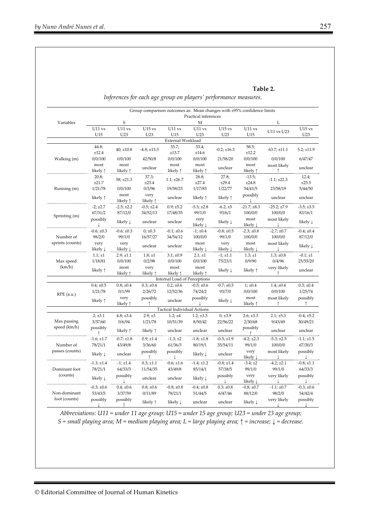*Inferences for each age group on players' performance measures.* 

|                              |                     |                             |                           |                                    |                             | Group comparison outcomes as: Mean changes with ±95% confidence limits |                             |                  |                 |  |
|------------------------------|---------------------|-----------------------------|---------------------------|------------------------------------|-----------------------------|------------------------------------------------------------------------|-----------------------------|------------------|-----------------|--|
| Variables                    |                     |                             |                           |                                    | Practical inferences        |                                                                        |                             |                  |                 |  |
|                              |                     | $\mathsf S$                 |                           |                                    | M                           |                                                                        | L                           |                  |                 |  |
|                              | $U11$ vs            | $U11$ vs                    | $U15$ vs                  | U11 vs                             | U11 vs                      | $U15$ vs                                                               | U11 vs                      | U11 vs U23       | $U15$ vs        |  |
|                              | U15                 | U23                         | U23                       | U15                                | U <sub>23</sub>             | U23                                                                    | U15                         |                  | U23             |  |
|                              |                     |                             |                           | External Workload                  |                             |                                                                        |                             |                  |                 |  |
| Walking (m)                  | 44.8;<br>±12.4      | $40; \pm 10.8$              | $-4.8; \pm 13.3$          | 33.7;<br>±13.7                     | 33.4;<br>±14.6              | $-0.2; \pm 16.3$                                                       | 58.5;<br>±12.2              | $63.7; \pm 11.1$ | $5.2; \pm 11.9$ |  |
|                              | 0/0/100             | 0/0/100                     | 42/50/8                   | 0/0/100                            | 0/0/100                     | 21/58/20                                                               | 0/0/100                     | 0/0/100          | 6/47/47         |  |
|                              | most                | most                        | unclear                   | most                               | most                        | unclear                                                                | most                        | most likely      |                 |  |
|                              | likely $\uparrow$   | likely $\uparrow$           |                           | likely ↑                           | likely 1                    |                                                                        | likely $\uparrow$           | ↑                | unclear         |  |
|                              | 20.8;<br>±21.7      | $58; \pm 21.3$              | 37.3;<br>±23.4            | $1.1; \pm 26.7$                    | 28.8;<br>±27.4              | 27.8;<br>±29.4                                                         | $-13.5;$<br>±24.8           | $-1.1; \pm 22.3$ | 12.4;<br>±25.5  |  |
| Running (m)                  | 1/21/78             | 0/0/100                     | 0/3/96                    | 19/58/23                           | 1/17/83                     | 1/22/77                                                                | 54/41/5                     | 23/58/19         | 5/44/50         |  |
|                              | likely $\uparrow$   | most<br>likely $\uparrow$   | very<br>likely $\uparrow$ | unclear                            | likely $\uparrow$           | likely $\uparrow$                                                      | possibly                    | unclear          | unclear         |  |
|                              | $-2; +2.7$          | $-2.5; \pm 2.2$             | $-0.5; \pm 2.4$           | $0.9; \pm 5.2$                     | $-5.3; \pm 2.8$             | $-6.2; \pm 5$                                                          | $-21.7; \pm 8.3$            | $-25.2; \pm 7.9$ | $-3.5; \pm 3.5$ |  |
|                              | 67/31/2             | 87/12/0                     | 34/52/13                  | 17/48/35                           | 99/1/0                      | 93/6/1                                                                 | 100/0/0                     | 100/0/0          | 83/16/1         |  |
| Sprinting (m)                | possibly            | likely $\downarrow$         | unclear                   | unclear                            | very<br>likely↓             | likely ↓                                                               | most<br>likely $\downarrow$ | most likely      | likely ↓        |  |
|                              | $-0.6; \pm 0.3$     | $-0.6; \pm 0.3$             | $0; \pm 0.3$              | $-0.1; \pm 0.6$                    | $-1; \pm 0.4$               | $-0.8; \pm 0.5$                                                        | $-2.3; \pm 0.8$             | $-2.7; \pm 0.7$  | $-0.4; \pm 0.4$ |  |
| Number of                    | 98/2/0              | 99/1/0                      | 16/57/27                  | 34/54/12                           | 100/0/0                     | 99/1/0                                                                 | 100/0/0                     | 100/0/0          | 87/12/0         |  |
| sprints (counts)             | very<br>likely ↓    | very<br>likely $\downarrow$ | unclear                   | unclear                            | most<br>likely $\downarrow$ | very<br>likely $\downarrow$                                            | most<br>likely $\downarrow$ | most likely      | likely ↓        |  |
|                              | $1.1; \pm 1$        | $2.9; \pm 1.1$              | $1.8; \pm 1$              | $3.1; \pm 0.9$                     | $2.1; \pm 1$                | $-1; \pm 1.1$                                                          | $1.3; \pm 1$                | $1.3; \pm 0.8$   | $-0.1; \pm 1$   |  |
| Max speed                    | 1/18/81             | 0/0/100                     | 0/2/98                    | 0/0/100                            | 0/0/100                     | 75/23/1                                                                | 0/9/90                      | 0/4/96           | 25/55/20        |  |
| (km/h)                       | likely ↑            | most<br>likely $\uparrow$   | very<br>likely $\uparrow$ | most<br>likely ↑                   | most<br>likely ↑            | likely $\downarrow$                                                    | likely ↑                    | very likely<br>↑ | unclear         |  |
|                              |                     |                             |                           | Internal Load of Perceptions       |                             |                                                                        |                             |                  |                 |  |
| $RPE$ (a.u.)                 | $0.4; \pm 0.5$      | $0.8; \pm 0.4$              | $0.3; \pm 0.4$            | $0.2; \pm 0.6$                     | $-0.5; \pm 0.6$             | $-0.7; \pm 0.5$                                                        | 1; ±0.4                     | $1.4; \pm 0.4$   | $0.3; \pm 0.4$  |  |
|                              | 1/21/78             | 0/1/99                      | 2/26/72                   | 12/52/36                           | 74/24/2                     | 93/7/0                                                                 | 0/0/100                     | 0/0/100          | 1/25/74         |  |
|                              | likely ↑            | very<br>likely $\uparrow$   | possibly<br>↑             | unclear                            | possibly                    | likely ↓                                                               | most<br>likely $\uparrow$   | most likely<br>î | possibly<br>↑   |  |
|                              |                     |                             |                           | <b>Tactical Individual Actions</b> |                             |                                                                        |                             |                  |                 |  |
|                              | $2; \pm 3.1$        | $4.8; \pm 3.4$              | $2.9; \pm 3$              | $1.2; \pm 4$                       | $1.2; \pm 3.3$              | $0; \pm 3.9$                                                           | $2.6; \pm 3.3$              | $2.1; \pm 5.3$   | $-0.4; \pm 5.2$ |  |
| Max passing<br>speed (km/h)  | 3/37/60             | 0/6/94                      | 1/21/78                   | 10/51/39                           | 8/50/42                     | 22/56/22                                                               | 2/30/68                     | 9/43/49          | 30/49/21        |  |
|                              | possibly            | likely $\uparrow$           | likely $\uparrow$         | unclear                            | unclear                     | unclear                                                                | possibly                    | unclear          | unclear         |  |
|                              | $-1.6; \pm 1.7$     | $-0.7; \pm 1.8$             | $0.9; \pm 1.4$            | $-1.3; \pm 2$                      | $-1.8; \pm 1.8$             | $-0.5; \pm 1.9$                                                        | $-4.2; \pm 2.3$             | $-5.3; \pm 2.5$  | $-1.1; \pm 1.5$ |  |
| Number of<br>passes (counts) | 78/21/1             | 43/49/8                     | 3/36/60                   | 61/36/3                            | 80/19/1                     | 35/54/11                                                               | 99/1/0                      | 100/0/0          | 67/30/3         |  |
|                              | likely $\downarrow$ | unclear                     | possibly                  | possibly                           | likely $\downarrow$         | unclear                                                                | very<br>likely $\downarrow$ | most likely      | possibly        |  |
|                              | $-1.3; \pm 1.4$     | $-1; \pm 1.4$               | $0.3; \pm 1.1$            | $-0.6; \pm 1.6$                    | $-1.4; \pm 1.2$             | $-0.8; \pm 1.4$                                                        | $-3.4; \pm 2$               | $-4.2; \pm 2.1$  | $-0.8; \pm 1.1$ |  |
| Dominant foot<br>(counts)    | 78/21/1             | 64/33/3                     | 11/54/35                  | 43/49/8                            | 85/14/1                     | 57/38/5                                                                | 99/1/0                      | 99/1/0           | 64/33/3         |  |
|                              | likely $\downarrow$ | possibly                    | unclear                   | unclear                            | likely $\downarrow$         | possibly                                                               | very<br>likely $\downarrow$ | very likely      | possibly        |  |
|                              | $-0.3; \pm 0.6$     | $0.4; \pm 0.6$              | $0.8; \pm 0.6$            | $-0.8; \pm 0.8$                    | $-0.4; \pm 0.8$             | $0.3; \pm 0.8$                                                         | $-0.8; \pm 0.7$             | $-1.1; \pm 0.7$  | $-0.3; \pm 0.6$ |  |
| Non-dominant                 | 53/43/5             | 3/37/59                     | 0/11/89                   | 78/21/1                            | 51/44/5                     | 6/47/46                                                                | 88/12/0                     | 98/2/0           | 54/42/4         |  |
| foot (counts)                | possibly            | possibly<br>$\uparrow$      | likely $\uparrow$         | likely $\downarrow$                | unclear                     | unclear                                                                | likely $\downarrow$         | very likely<br>↓ | possibly<br>T   |  |

*Abbreviations: U11 = under 11 age group; U15 = under 15 age group; U23 = under 23 age group; S = small playing area; M = medium playing area; L = large playing area; ↑ = increase; ↓ = decrease.*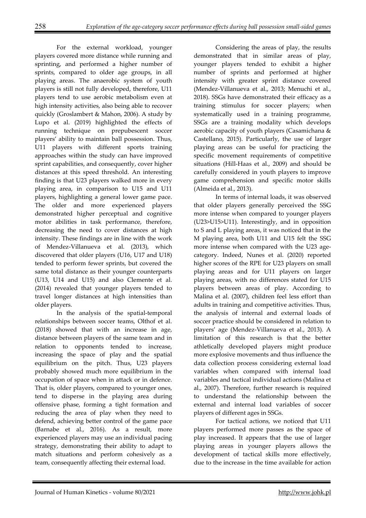For the external workload, younger players covered more distance while running and sprinting, and performed a higher number of sprints, compared to older age groups, in all playing areas. The anaerobic system of youth players is still not fully developed, therefore, U11 players tend to use aerobic metabolism even at high intensity activities, also being able to recover quickly (Groslambert & Mahon, 2006). A study by Lupo et al. (2019) highlighted the effects of running technique on prepubescent soccer players' ability to maintain ball possession. Thus, U11 players with different sports training approaches within the study can have improved sprint capabilities, and consequently, cover higher distances at this speed threshold. An interesting finding is that U23 players walked more in every playing area, in comparison to U15 and U11 players, highlighting a general lower game pace. The older and more experienced players demonstrated higher perceptual and cognitive motor abilities in task performance, therefore, decreasing the need to cover distances at high intensity. These findings are in line with the work of Mendez-Villanueva et al. (2013), which discovered that older players (U16, U17 and U18) tended to perform fewer sprints, but covered the same total distance as their younger counterparts (U13, U14 and U15) and also Clemente et al. (2014) revealed that younger players tended to travel longer distances at high intensities than older players.

In the analysis of the spatial-temporal relationships between soccer teams, Olthof et al. (2018) showed that with an increase in age, distance between players of the same team and in relation to opponents tended to increase, increasing the space of play and the spatial equilibrium on the pitch. Thus, U23 players probably showed much more equilibrium in the occupation of space when in attack or in defence. That is, older players, compared to younger ones, tend to disperse in the playing area during offensive phase, forming a tight formation and reducing the area of play when they need to defend, achieving better control of the game pace (Barnabe et al., 2016). As a result, more experienced players may use an individual pacing strategy, demonstrating their ability to adapt to match situations and perform cohesively as a team, consequently affecting their external load.

Considering the areas of play, the results demonstrated that in similar areas of play, younger players tended to exhibit a higher number of sprints and performed at higher intensity with greater sprint distance covered (Mendez-Villanueva et al., 2013; Menuchi et al., 2018). SSGs have demonstrated their efficacy as a training stimulus for soccer players; when systematically used in a training programme, SSGs are a training modality which develops aerobic capacity of youth players (Casamichana & Castellano, 2015). Particularly, the use of larger playing areas can be useful for practicing the specific movement requirements of competitive situations (Hill-Haas et al., 2009) and should be carefully considered in youth players to improve game comprehension and specific motor skills (Almeida et al., 2013).

In terms of internal loads, it was observed that older players generally perceived the SSG more intense when compared to younger players (U23>U15>U11). Interestingly, and in opposition to S and L playing areas, it was noticed that in the M playing area, both U11 and U15 felt the SSG more intense when compared with the U23 agecategory. Indeed, Nunes et al. (2020) reported higher scores of the RPE for U23 players on small playing areas and for U11 players on larger playing areas, with no differences stated for U15 players between areas of play. According to Malina et al. (2007), children feel less effort than adults in training and competitive activities. Thus, the analysis of internal and external loads of soccer practice should be considered in relation to players' age (Mendez-Villanueva et al., 2013). A limitation of this research is that the better athletically developed players might produce more explosive movements and thus influence the data collection process considering external load variables when compared with internal load variables and tactical individual actions (Malina et al., 2007). Therefore, further research is required to understand the relationship between the external and internal load variables of soccer players of different ages in SSGs.

For tactical actions, we noticed that U11 players performed more passes as the space of play increased. It appears that the use of larger playing areas in younger players allows the development of tactical skills more effectively, due to the increase in the time available for action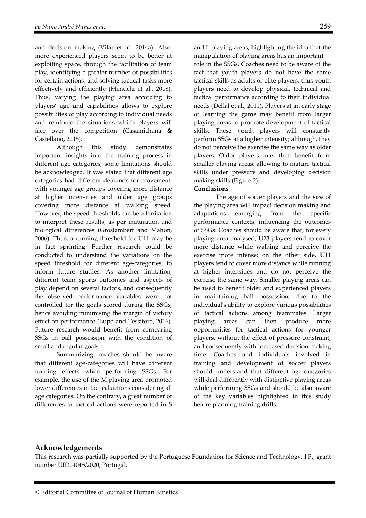and decision making (Vilar et al., 2014a). Also, more experienced players seem to be better at exploiting space, through the facilitation of team play, identifying a greater number of possibilities for certain actions, and solving tactical tasks more effectively and efficiently (Menuchi et al., 2018). Thus, varying the playing area according to players' age and capabilities allows to explore possibilities of play according to individual needs and reinforce the situations which players will face over the competition (Casamichana & Castellano, 2015).

Although this study demonstrates important insights into the training process in different age categories, some limitations should be acknowledged. It was stated that different age categories had different demands for movement, with younger age groups covering more distance at higher intensities and older age groups covering more distance at walking speed. However, the speed thresholds can be a limitation to interpret these results, as per maturation and biological differences (Groslambert and Mahon, 2006). Thus, a running threshold for U11 may be in fact sprinting. Further research could be conducted to understand the variations on the speed threshold for different age-categories, to inform future studies. As another limitation, different team sports outcomes and aspects of play depend on several factors, and consequently the observed performance variables were not controlled for the goals scored during the SSGs, hence avoiding minimising the margin of victory effect on performance (Lupo and Tessitore, 2016). Future research would benefit from comparing SSGs in ball possession with the condition of small and regular goals.

Summarizing, coaches should be aware that different age-categories will have different training effects when performing SSGs. For example, the use of the M playing area promoted lower differences in tactical actions considering all age categories. On the contrary, a great number of differences in tactical actions were reported in S

and L playing areas, highlighting the idea that the manipulation of playing areas has an important role in the SSGs. Coaches need to be aware of the fact that youth players do not have the same tactical skills as adults or elite players, thus youth players need to develop physical, technical and tactical performance according to their individual needs (Dellal et al., 2011). Players at an early stage of learning the game may benefit from larger playing areas to promote development of tactical skills. These youth players will constantly perform SSGs at a higher intensity; although, they do not perceive the exercise the same way as older players. Older players may then benefit from smaller playing areas, allowing to mature tactical skills under pressure and developing decision making skills (Figure 2).

#### **Conclusions**

The age of soccer players and the size of the playing area will impact decision making and adaptations emerging from the specific performance contexts, influencing the outcomes of SSGs. Coaches should be aware that, for every playing area analysed, U23 players tend to cover more distance while walking and perceive the exercise more intense; on the other side, U11 players tend to cover more distance while running at higher intensities and do not perceive the exercise the same way. Smaller playing areas can be used to benefit older and experienced players in maintaining ball possession, due to the individual's ability to explore various possibilities of tactical actions among teammates. Larger playing areas can then produce more opportunities for tactical actions for younger players, without the effect of pressure constraint, and consequently with increased decision-making time. Coaches and individuals involved in training and development of soccer players should understand that different age-categories will deal differently with distinctive playing areas while performing SSGs and should be also aware of the key variables highlighted in this study before planning training drills.

## **Acknowledgements**

This research was partially supported by the Portuguese Foundation for Science and Technology, I.P., grant number UID04045/2020, Portugal.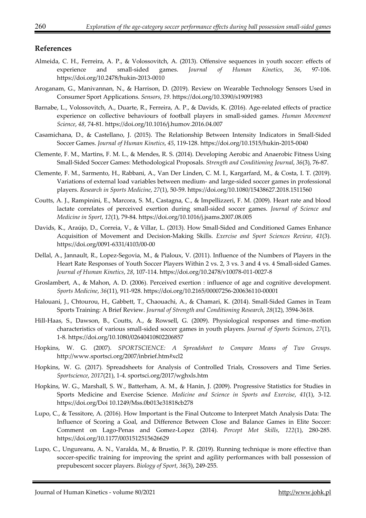#### **References**

- Almeida, C. H., Ferreira, A. P., & Volossovitch, A. (2013). Offensive sequences in youth soccer: effects of experience and small-sided games. *Journal of Human Kinetics*, *36*, 97-106. https://doi.org/10.2478/hukin-2013-0010
- Aroganam, G., Manivannan, N., & Harrison, D. (2019). Review on Wearable Technology Sensors Used in Consumer Sport Applications. *Sensors*, *19*. https://doi.org/10.3390/s19091983
- Barnabe, L., Volossovitch, A., Duarte, R., Ferreira, A. P., & Davids, K. (2016). Age-related effects of practice experience on collective behaviours of football players in small-sided games. *Human Movement Science*, *48*, 74-81. https://doi.org/10.1016/j.humov.2016.04.007
- Casamichana, D., & Castellano, J. (2015). The Relationship Between Intensity Indicators in Small-Sided Soccer Games. *Journal of Human Kinetics*, *45*, 119-128. https://doi.org/10.1515/hukin-2015-0040
- Clemente, F. M., Martins, F. M. L., & Mendes, R. S. (2014). Developing Aerobic and Anaerobic Fitness Using Small-Sided Soccer Games: Methodological Proposals. *Strength and Conditioning Journal*, *36*(3), 76-87.
- Clemente, F. M., Sarmento, H., Rabbani, A., Van Der Linden, C. M. I., Kargarfard, M., & Costa, I. T. (2019). Variations of external load variables between medium- and large-sided soccer games in professional players. *Research in Sports Medicine*, *27*(1), 50-59. https://doi.org/10.1080/15438627.2018.1511560
- Coutts, A. J., Rampinini, E., Marcora, S. M., Castagna, C., & Impellizzeri, F. M. (2009). Heart rate and blood lactate correlates of perceived exertion during small-sided soccer games. *Journal of Science and Medicine in Sport*, *12*(1), 79-84. https://doi.org/10.1016/j.jsams.2007.08.005
- Davids, K., Araújo, D., Correia, V., & Villar, L. (2013). How Small-Sided and Conditioned Games Enhance Acquisition of Movement and Decision-Making Skills. *Exercise and Sport Sciences Review*, *41*(3). https://doi.org/0091-6331/4103/00-00
- Dellal, A., Jannault, R., Lopez-Segovia, M., & Pialoux, V. (2011). Influence of the Numbers of Players in the Heart Rate Responses of Youth Soccer Players Within 2 vs. 2, 3 vs. 3 and 4 vs. 4 Small-sided Games. *Journal of Human Kinetics*, *28*, 107-114. https://doi.org/10.2478/v10078-011-0027-8
- Groslambert, A., & Mahon, A. D. (2006). Perceived exertion : influence of age and cognitive development. *Sports Medicine*, *36*(11), 911-928. https://doi.org/10.2165/00007256-200636110-00001
- Halouani, J., Chtourou, H., Gabbett, T., Chaouachi, A., & Chamari, K. (2014). Small-Sided Games in Team Sports Training: A Brief Review. *Journal of Strength and Conditioning Research*, *28*(12), 3594-3618.
- Hill-Haas, S., Dawson, B., Coutts, A., & Rowsell, G. (2009). Physiological responses and time–motion characteristics of various small-sided soccer games in youth players. *Journal of Sports Sciences*, *27*(1), 1-8. https://doi.org/10.1080/02640410802206857
- Hopkins, W. G. (2007). *SPORTSCIENCE: A Spreadsheet to Compare Means of Two Groups*. http://www.sportsci.org/2007/inbrief.htm#xcl2
- Hopkins, W. G. (2017). Spreadsheets for Analysis of Controlled Trials, Crossovers and Time Series. *Sportscience*, *2017*(21), 1-4. sportsci.org/2017/wghxls.htm
- Hopkins, W. G., Marshall, S. W., Batterham, A. M., & Hanin, J. (2009). Progressive Statistics for Studies in Sports Medicine and Exercise Science. *Medicine and Science in Sports and Exercise*, *41*(1), 3-12. https://doi.org/Doi 10.1249/Mss.0b013e31818cb278
- Lupo, C., & Tessitore, A. (2016). How Important is the Final Outcome to Interpret Match Analysis Data: The Influence of Scoring a Goal, and Difference Between Close and Balance Games in Elite Soccer: Comment on Lago-Penas and Gomez-Lopez (2014). *Percept Mot Skills*, *122*(1), 280-285. https://doi.org/10.1177/0031512515626629
- Lupo, C., Ungureanu, A. N., Varalda, M., & Brustio, P. R. (2019). Running technique is more effective than soccer-specific training for improving the sprint and agility performances with ball possession of prepubescent soccer players. *Biology of Sport*, *36*(3), 249-255.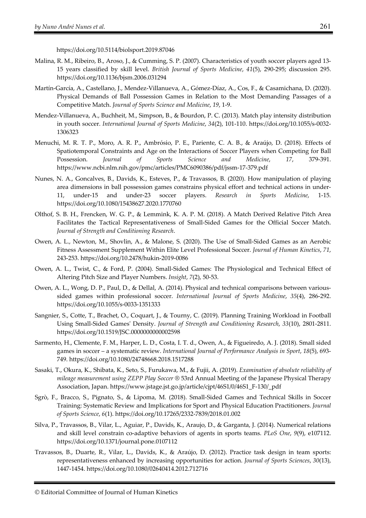https://doi.org/10.5114/biolsport.2019.87046

- Malina, R. M., Ribeiro, B., Aroso, J., & Cumming, S. P. (2007). Characteristics of youth soccer players aged 13- 15 years classified by skill level. *British Journal of Sports Medicine*, *41*(5), 290-295; discussion 295. https://doi.org/10.1136/bjsm.2006.031294
- Martín-García, A., Castellano, J., Mendez-Villanueva, A., Gómez-Díaz, A., Cos, F., & Casamichana, D. (2020). Physical Demands of Ball Possession Games in Relation to the Most Demanding Passages of a Competitive Match. *Journal of Sports Science and Medicine*, *19*, 1-9.
- Mendez-Villanueva, A., Buchheit, M., Simpson, B., & Bourdon, P. C. (2013). Match play intensity distribution in youth soccer. *International Journal of Sports Medicine*, *34*(2), 101-110. https://doi.org/10.1055/s-0032- 1306323
- Menuchi, M. R. T. P., Moro, A. R. P., Ambrósio, P. E., Pariente, C. A. B., & Araújo, D. (2018). Effects of Spatiotemporal Constraints and Age on the Interactions of Soccer Players when Competing for Ball Possession. *Journal of Sports Science and Medicine*, *17*, 379-391. https://www.ncbi.nlm.nih.gov/pmc/articles/PMC6090386/pdf/jssm-17-379.pdf
- Nunes, N. A., Goncalves, B., Davids, K., Esteves, P., & Travassos, B. (2020). How manipulation of playing area dimensions in ball possession games constrains physical effort and technical actions in under-11, under-15 and under-23 soccer players. *Research in Sports Medicine*, 1-15. https://doi.org/10.1080/15438627.2020.1770760
- Olthof, S. B. H., Frencken, W. G. P., & Lemmink, K. A. P. M. (2018). A Match Derived Relative Pitch Area Facilitates the Tactical Representativeness of Small-Sided Games for the Official Soccer Match. *Journal of Strength and Conditioning Research*.
- Owen, A. L., Newton, M., Shovlin, A., & Malone, S. (2020). The Use of Small-Sided Games as an Aerobic Fitness Assessment Supplement Within Elite Level Professional Soccer. *Journal of Human Kinetics*, *71*, 243-253. https://doi.org/10.2478/hukin-2019-0086
- Owen, A. L., Twist, C., & Ford, P. (2004). Small-Sided Games: The Physiological and Technical Effect of Altering Pitch Size and Player Numbers. *Insight*, *7*(2), 50-53.
- Owen, A. L., Wong, D. P., Paul, D., & Dellal, A. (2014). Physical and technical comparisons between varioussided games within professional soccer. *International Journal of Sports Medicine*, *35*(4), 286-292. https://doi.org/10.1055/s-0033-1351333
- Sangnier, S., Cotte, T., Brachet, O., Coquart, J., & Tourny, C. (2019). Planning Training Workload in Football Using Small-Sided Games' Density. *Journal of Strength and Conditioning Research*, *33*(10), 2801-2811. https://doi.org/10.1519/JSC.0000000000002598
- Sarmento, H., Clemente, F. M., Harper, L. D., Costa, I. T. d., Owen, A., & Figueiredo, A. J. (2018). Small sided games in soccer – a systematic review. *International Journal of Performance Analysis in Sport*, *18*(5), 693- 749. https://doi.org/10.1080/24748668.2018.1517288
- Sasaki, T., Okura, K., Shibata, K., Seto, S., Furukawa, M., & Fujii, A. (2019). *Examination of absolute reliability of mileage measurement using ZEPP Play Soccer ®* 53rd Annual Meeting of the Japanese Physical Therapy Association, Japan. https://www.jstage.jst.go.jp/article/cjpt/46S1/0/46S1\_F-130/\_pdf
- Sgrò, F., Bracco, S., Pignato, S., & Lipoma, M. (2018). Small-Sided Games and Technical Skills in Soccer Training: Systematic Review and Implications for Sport and Physical Education Practitioners. *Journal of Sports Science*, *6*(1). https://doi.org/10.17265/2332-7839/2018.01.002
- Silva, P., Travassos, B., Vilar, L., Aguiar, P., Davids, K., Araujo, D., & Garganta, J. (2014). Numerical relations and skill level constrain co-adaptive behaviors of agents in sports teams. *PLoS One*, *9*(9), e107112. https://doi.org/10.1371/journal.pone.0107112
- Travassos, B., Duarte, R., Vilar, L., Davids, K., & Araújo, D. (2012). Practice task design in team sports: representativeness enhanced by increasing opportunities for action. *Journal of Sports Sciences*, *30*(13), 1447-1454. https://doi.org/10.1080/02640414.2012.712716